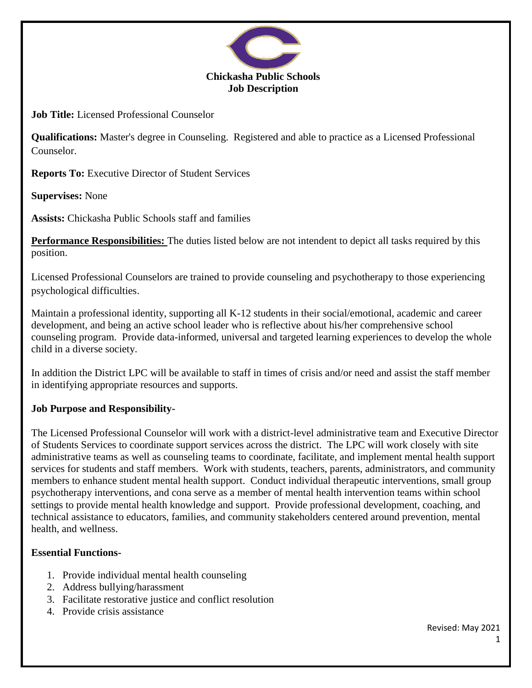

**Job Title:** Licensed Professional Counselor

**Qualifications:** Master's degree in Counseling. Registered and able to practice as a Licensed Professional Counselor.

**Reports To:** Executive Director of Student Services

**Supervises:** None

**Assists:** Chickasha Public Schools staff and families

**Performance Responsibilities:** The duties listed below are not intendent to depict all tasks required by this position.

Licensed Professional Counselors are trained to provide counseling and psychotherapy to those experiencing psychological difficulties.

Maintain a professional identity, supporting all K-12 students in their social/emotional, academic and career development, and being an active school leader who is reflective about his/her comprehensive school counseling program. Provide data-informed, universal and targeted learning experiences to develop the whole child in a diverse society.

In addition the District LPC will be available to staff in times of crisis and/or need and assist the staff member in identifying appropriate resources and supports.

# **Job Purpose and Responsibility-**

The Licensed Professional Counselor will work with a district-level administrative team and Executive Director of Students Services to coordinate support services across the district. The LPC will work closely with site administrative teams as well as counseling teams to coordinate, facilitate, and implement mental health support services for students and staff members. Work with students, teachers, parents, administrators, and community members to enhance student mental health support. Conduct individual therapeutic interventions, small group psychotherapy interventions, and cona serve as a member of mental health intervention teams within school settings to provide mental health knowledge and support. Provide professional development, coaching, and technical assistance to educators, families, and community stakeholders centered around prevention, mental health, and wellness.

# **Essential Functions-**

- 1. Provide individual mental health counseling
- 2. Address bullying/harassment
- 3. Facilitate restorative justice and conflict resolution
- 4. Provide crisis assistance